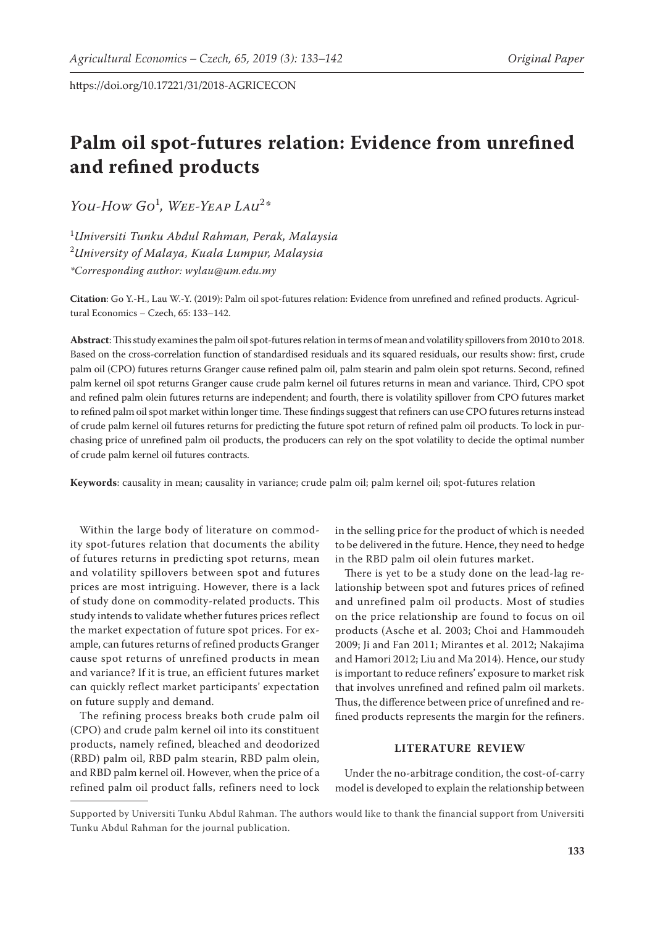# **Palm oil spot-futures relation: Evidence from unrefined and refined products**

*You-How Go*<sup>1</sup> *, Wee-Yeap Lau*<sup>2</sup> *\**

1 *Universiti Tunku Abdul Rahman, Perak, Malaysia* 2 *University of Malaya, Kuala Lumpur, Malaysia \*Corresponding author: [wylau@um.edu.my](mailto:wylau@um.edu.my)*

**Citation**: Go Y.-H., Lau W.-Y. (2019): Palm oil spot-futures relation: Evidence from unrefined and refined products. Agricultural Economics – Czech, 65: 133–142.

**Abstract**: This study examines the palm oil spot-futures relation in terms of mean and volatility spillovers from 2010 to 2018. Based on the cross-correlation function of standardised residuals and its squared residuals, our results show: first, crude palm oil (CPO) futures returns Granger cause refined palm oil, palm stearin and palm olein spot returns. Second, refined palm kernel oil spot returns Granger cause crude palm kernel oil futures returns in mean and variance. Third, CPO spot and refined palm olein futures returns are independent; and fourth, there is volatility spillover from CPO futures market to refined palm oil spot market within longer time. These findings suggest that refiners can use CPO futures returns instead of crude palm kernel oil futures returns for predicting the future spot return of refined palm oil products. To lock in purchasing price of unrefined palm oil products, the producers can rely on the spot volatility to decide the optimal number of crude palm kernel oil futures contracts.

**Keywords**: causality in mean; causality in variance; crude palm oil; palm kernel oil; spot-futures relation

Within the large body of literature on commodity spot-futures relation that documents the ability of futures returns in predicting spot returns, mean and volatility spillovers between spot and futures prices are most intriguing. However, there is a lack of study done on commodity-related products. This study intends to validate whether futures prices reflect the market expectation of future spot prices. For example, can futures returns of refined products Granger cause spot returns of unrefined products in mean and variance? If it is true, an efficient futures market can quickly reflect market participants' expectation on future supply and demand.

The refining process breaks both crude palm oil (CPO) and crude palm kernel oil into its constituent products, namely refined, bleached and deodorized (RBD) palm oil, RBD palm stearin, RBD palm olein, and RBD palm kernel oil. However, when the price of a refined palm oil product falls, refiners need to lock

in the selling price for the product of which is needed to be delivered in the future. Hence, they need to hedge in the RBD palm oil olein futures market.

There is yet to be a study done on the lead-lag relationship between spot and futures prices of refined and unrefined palm oil products. Most of studies on the price relationship are found to focus on oil products (Asche et al. 2003; Choi and Hammoudeh 2009; Ji and Fan 2011; Mirantes et al. 2012; Nakajima and Hamori 2012; Liu and Ma 2014). Hence, our study is important to reduce refiners' exposure to market risk that involves unrefined and refined palm oil markets. Thus, the difference between price of unrefined and refined products represents the margin for the refiners.

### **LITERATURE REVIEW**

Under the no-arbitrage condition, the cost-of-carry model is developed to explain the relationship between

Supported by Universiti Tunku Abdul Rahman. The authors would like to thank the financial support from Universiti Tunku Abdul Rahman for the journal publication.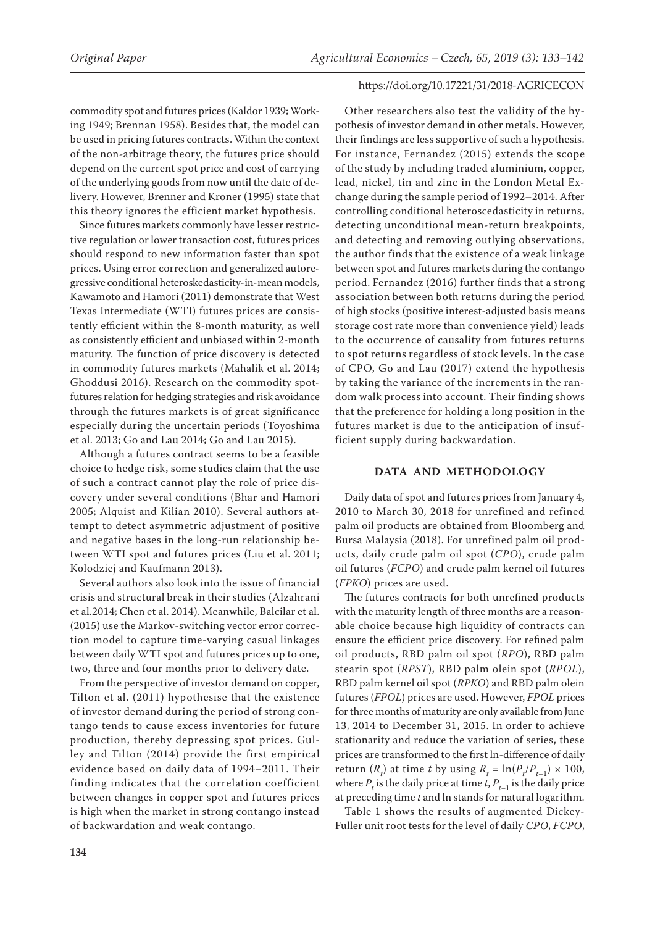commodity spot and futures prices (Kaldor 1939; Working 1949; Brennan 1958). Besides that, the model can be used in pricing futures contracts. Within the context of the non-arbitrage theory, the futures price should depend on the current spot price and cost of carrying of the underlying goods from now until the date of delivery. However, Brenner and Kroner (1995) state that this theory ignores the efficient market hypothesis.

Since futures markets commonly have lesser restrictive regulation or lower transaction cost, futures prices should respond to new information faster than spot prices. Using error correction and generalized autoregressive conditional heteroskedasticity-in-mean models, Kawamoto and Hamori (2011) demonstrate that West Texas Intermediate (WTI) futures prices are consistently efficient within the 8-month maturity, as well as consistently efficient and unbiased within 2-month maturity. The function of price discovery is detected in commodity futures markets (Mahalik et al. 2014; Ghoddusi 2016). Research on the commodity spotfutures relation for hedging strategies and risk avoidance through the futures markets is of great significance especially during the uncertain periods (Toyoshima et al. 2013; Go and Lau 2014; Go and Lau 2015).

Although a futures contract seems to be a feasible choice to hedge risk, some studies claim that the use of such a contract cannot play the role of price discovery under several conditions (Bhar and Hamori 2005; Alquist and Kilian 2010). Several authors attempt to detect asymmetric adjustment of positive and negative bases in the long-run relationship between WTI spot and futures prices (Liu et al. 2011; Kolodziej and Kaufmann 2013).

Several authors also look into the issue of financial crisis and structural break in their studies (Alzahrani et al.2014; Chen et al. 2014). Meanwhile, Balcilar et al. (2015) use the Markov-switching vector error correction model to capture time-varying casual linkages between daily WTI spot and futures prices up to one, two, three and four months prior to delivery date.

From the perspective of investor demand on copper, Tilton et al. (2011) hypothesise that the existence of investor demand during the period of strong contango tends to cause excess inventories for future production, thereby depressing spot prices. Gulley and Tilton (2014) provide the first empirical evidence based on daily data of 1994–2011. Their finding indicates that the correlation coefficient between changes in copper spot and futures prices is high when the market in strong contango instead of backwardation and weak contango.

Other researchers also test the validity of the hypothesis of investor demand in other metals. However, their findings are less supportive of such a hypothesis. For instance, Fernandez (2015) extends the scope of the study by including traded aluminium, copper, lead, nickel, tin and zinc in the London Metal Exchange during the sample period of 1992–2014. After controlling conditional heteroscedasticity in returns, detecting unconditional mean-return breakpoints, and detecting and removing outlying observations, the author finds that the existence of a weak linkage between spot and futures markets during the contango period. Fernandez (2016) further finds that a strong association between both returns during the period of high stocks (positive interest-adjusted basis means storage cost rate more than convenience yield) leads to the occurrence of causality from futures returns to spot returns regardless of stock levels. In the case of CPO, Go and Lau (2017) extend the hypothesis by taking the variance of the increments in the random walk process into account. Their finding shows that the preference for holding a long position in the futures market is due to the anticipation of insufficient supply during backwardation.

### **DATA AND METHODOLOGY**

Daily data of spot and futures prices from January 4, 2010 to March 30, 2018 for unrefined and refined palm oil products are obtained from Bloomberg and Bursa Malaysia (2018). For unrefined palm oil products, daily crude palm oil spot (*CPO*), crude palm oil futures (*FCPO*) and crude palm kernel oil futures (*FPKO*) prices are used.

The futures contracts for both unrefined products with the maturity length of three months are a reasonable choice because high liquidity of contracts can ensure the efficient price discovery. For refined palm oil products, RBD palm oil spot (*RPO*), RBD palm stearin spot (*RPST*), RBD palm olein spot (*RPOL*), RBD palm kernel oil spot (*RPKO*) and RBD palm olein futures (*FPOL*) prices are used. However, *FPOL* prices for three months of maturity are only available from June 13, 2014 to December 31, 2015. In order to achieve stationarity and reduce the variation of series, these prices are transformed to the first ln-difference of daily return  $(R_t)$  at time *t* by using  $R_t = \ln(P_t/P_{t-1}) \times 100$ , where  $P_t$  is the daily price at time  $t$ ,  $P_{t-1}$  is the daily price at preceding time *t* and ln stands for natural logarithm.

Table 1 shows the results of augmented Dickey-Fuller unit root tests for the level of daily *CPO*, *FCPO*,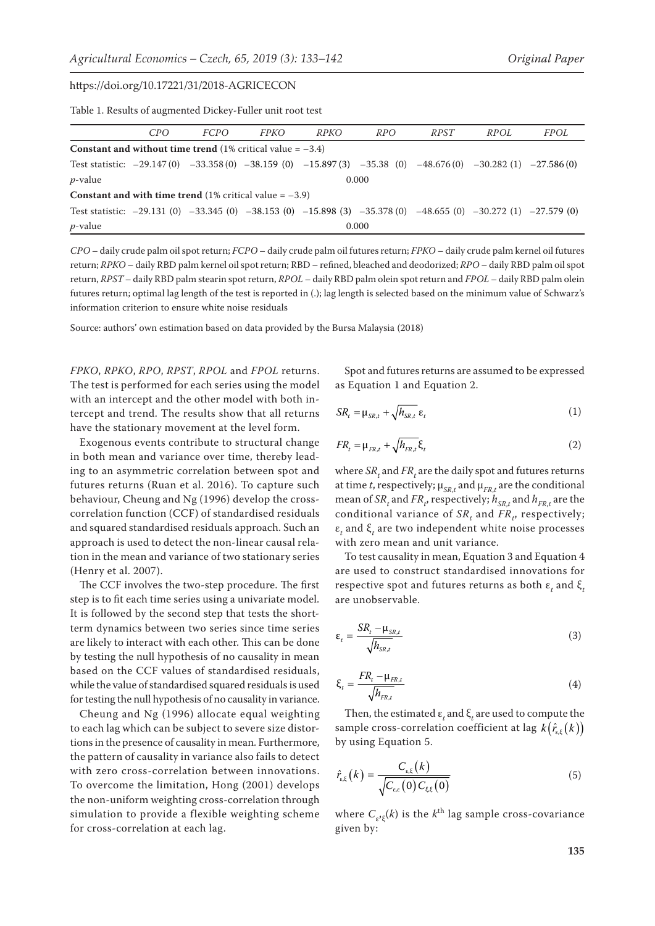Table 1. Results of augmented Dickey-Fuller unit root test

|                                                                                                                         | CPO | <i>FCPO</i> | <i>FPKO</i> | RPKO | RPO   | RPST | RPOL | <i>FPOL</i> |
|-------------------------------------------------------------------------------------------------------------------------|-----|-------------|-------------|------|-------|------|------|-------------|
| <b>Constant and without time trend</b> (1% critical value $= -3.4$ )                                                    |     |             |             |      |       |      |      |             |
| Test statistic: $-29.147(0)$ $-33.358(0)$ $-38.159(0)$ $-15.897(3)$ $-35.38(0)$ $-48.676(0)$ $-30.282(1)$ $-27.586(0)$  |     |             |             |      |       |      |      |             |
| $p$ -value                                                                                                              |     |             |             |      | 0.000 |      |      |             |
| <b>Constant and with time trend</b> (1% critical value $= -3.9$ )                                                       |     |             |             |      |       |      |      |             |
| Test statistic: $-29.131(0)$ $-33.345(0)$ $-38.153(0)$ $-15.898(3)$ $-35.378(0)$ $-48.655(0)$ $-30.272(1)$ $-27.579(0)$ |     |             |             |      |       |      |      |             |
| $p$ -value                                                                                                              |     |             |             |      | 0.000 |      |      |             |

*CPO* – daily crude palm oil spot return; *FCPO* – daily crude palm oil futures return; *FPKO* – daily crude palm kernel oil futures return; *RPKO* – daily RBD palm kernel oil spot return; RBD – refined, bleached and deodorized; *RPO* – daily RBD palm oil spot return, *RPST* – daily RBD palm stearin spot return, *RPOL* – daily RBD palm olein spot return and *FPOL* – daily RBD palm olein futures return; optimal lag length of the test is reported in (.); lag length is selected based on the minimum value of Schwarz's information criterion to ensure white noise residuals

Source: authors' own estimation based on data provided by the Bursa Malaysia (2018)

*FPKO*, *RPKO*, *RPO*, *RPST*, *RPOL* and *FPOL* returns. The test is performed for each series using the model with an intercept and the other model with both intercept and trend. The results show that all returns have the stationary movement at the level form.

Exogenous events contribute to structural change in both mean and variance over time, thereby leading to an asymmetric correlation between spot and futures returns (Ruan et al. 2016). To capture such behaviour, Cheung and Ng (1996) develop the crosscorrelation function (CCF) of standardised residuals and squared standardised residuals approach. Such an approach is used to detect the non-linear causal relation in the mean and variance of two stationary series (Henry et al. 2007).

The CCF involves the two-step procedure. The first step is to fit each time series using a univariate model. It is followed by the second step that tests the shortterm dynamics between two series since time series are likely to interact with each other. This can be done by testing the null hypothesis of no causality in mean based on the CCF values of standardised residuals, while the value of standardised squared residuals is used for testing the null hypothesis of no causality in variance.

Cheung and Ng (1996) allocate equal weighting to each lag which can be subject to severe size distortions in the presence of causality in mean. Furthermore, the pattern of causality in variance also fails to detect with zero cross-correlation between innovations. To overcome the limitation, Hong (2001) develops the non-uniform weighting cross-correlation through simulation to provide a flexible weighting scheme for cross-correlation at each lag.

Spot and futures returns are assumed to be expressed as Equation 1 and Equation 2.

$$
SR_t = \mu_{SR,t} + \sqrt{h_{SR,t}} \,\varepsilon_t \tag{1}
$$

$$
FR_t = \mu_{FR,t} + \sqrt{h_{FR,t}} \xi_t
$$
 (2)

where  $\mathit{SR}_t$  and  $\mathit{FR}_t$  are the daily spot and futures returns at time *t*, respectively;  $\mu_{SR,t}$  and  $\mu_{FR,t}$  are the conditional mean of  $SR_t$  and  $FR_t$ , respectively;  $h_{SR,t}$  and  $h_{FR,t}$  are the conditional variance of  $SR_t$  and  $FR_t$ , respectively;  $\varepsilon_t$  and  $\xi_t$  are two independent white noise processes with zero mean and unit variance.

To test causality in mean, Equation 3 and Equation 4 are used to construct standardised innovations for respective spot and futures returns as both  $\varepsilon^{}_{t}$  and  $\xi^{}_{t}$ are unobservable.

$$
\varepsilon_{t} = \frac{SR_{t} - \mu_{SR,t}}{\sqrt{h_{SR,t}}} \tag{3}
$$

$$
\xi_t = \frac{FR_t - \mu_{FR,t}}{\sqrt{h_{FR,t}}} \tag{4}
$$

Then, the estimated  $\varepsilon_t$  and  $\xi_t$  are used to compute the sample cross-correlation coefficient at lag  $k\big(\hat{r}_{\varepsilon,\xi}(k)\big)$ by using Equation 5.

$$
\hat{r}_{\varepsilon,\varepsilon}(k) = \frac{C_{\varepsilon,\varepsilon}(k)}{\sqrt{C_{\varepsilon,\varepsilon}(0)C_{\varepsilon,\varepsilon}(0)}}\tag{5}
$$

where  $C_{\varepsilon' \xi}(k)$  is the  $k^{\text{th}}$  lag sample cross-covariance given by: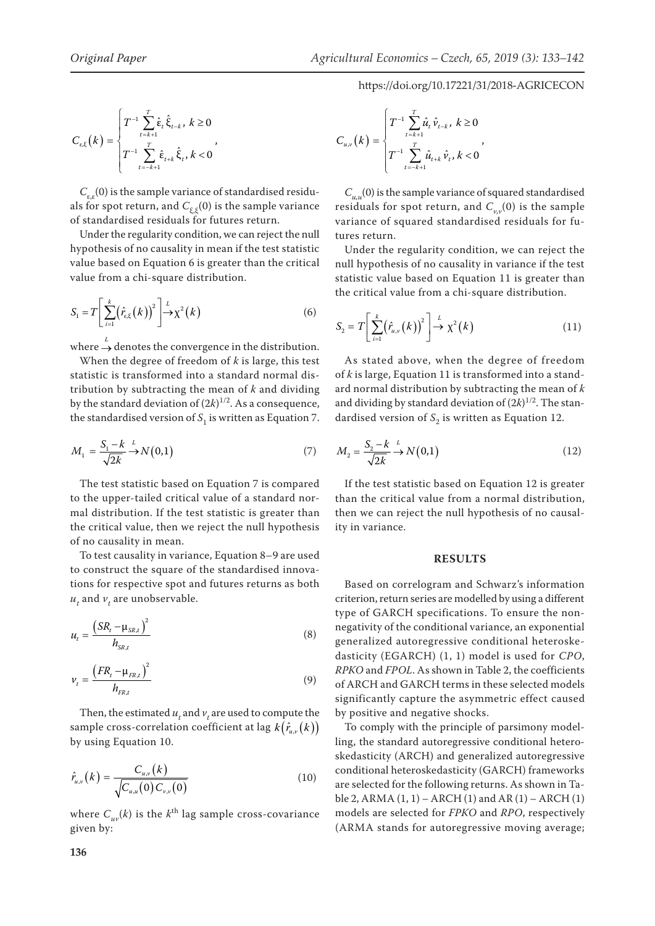$$
C_{\varepsilon,\xi}(k) = \begin{cases} T^{-1} \sum_{t=k+1}^{T} \hat{\varepsilon}_t \hat{\xi}_{t-k}, \ k \ge 0 \\ T^{-1} \sum_{t=-k+1}^{T} \hat{\varepsilon}_{t+k} \hat{\xi}_t, \ k < 0 \end{cases}
$$

 $C_{\varepsilon,\varepsilon}(0)$  is the sample variance of standardised residuals for spot return, and  $C_{\varepsilon,\varepsilon}(0)$  is the sample variance of standardised residuals for futures return.

Under the regularity condition, we can reject the null hypothesis of no causality in mean if the test statistic value based on Equation 6 is greater than the critical value from a chi-square distribution.

$$
S_1 = T \left[ \sum_{i=1}^k (\hat{r}_{\epsilon,\xi}(k))^2 \right] \stackrel{L}{\longrightarrow} \chi^2(k) \tag{6}
$$

where  $\stackrel{L}{\rightarrow}$  denotes the convergence in the distribution.

When the degree of freedom of *k* is large, this test statistic is transformed into a standard normal distribution by subtracting the mean of *k* and dividing by the standard deviation of (2*k*) 1/2. As a consequence, the standardised version of  $S<sub>1</sub>$  is written as Equation 7.

$$
M_1 = \frac{S_1 - k}{\sqrt{2k}} \xrightarrow{L} N(0,1) \tag{7}
$$

The test statistic based on Equation 7 is compared to the upper-tailed critical value of a standard normal distribution. If the test statistic is greater than the critical value, then we reject the null hypothesis of no causality in mean.

To test causality in variance, Equation 8–9 are used to construct the square of the standardised innovations for respective spot and futures returns as both  $u_t$  and  $v_t$  are unobservable.

$$
u_t = \frac{\left(SR_t - \mu_{SR,t}\right)^2}{h_{SR,t}}
$$
\n(8)

$$
v_t = \frac{\left(FR_t - \mu_{FR,t}\right)^2}{h_{FR,t}}
$$
\n(9)

Then, the estimated  $u_t$  and  $v_t$  are used to compute the sample cross-correlation coefficient at lag  $k\big(\hat{r}_{\scriptscriptstyle u,v}(k)\big)$ by using Equation 10.

$$
\hat{r}_{u,v}(k) = \frac{C_{u,v}(k)}{\sqrt{C_{u,u}(0) C_{v,v}(0)}}
$$
(10)

where  $C_{\mu\nu}(k)$  is the  $k^{\text{th}}$  lag sample cross-covariance given by:

$$
C_{u,v}(k) = \begin{cases} T^{-1} \sum_{t=k+1}^{T} \hat{u}_t \,\hat{v}_{t-k}, \ k \geq 0 \\ T^{-1} \sum_{t=-k+1}^{T} \hat{u}_{t+k} \,\hat{v}_t, k < 0 \end{cases},
$$

 $C_{uu}(0)$  is the sample variance of squared standardised residuals for spot return, and  $C_{\nu\nu}(0)$  is the sample variance of squared standardised residuals for futures return.

Under the regularity condition, we can reject the null hypothesis of no causality in variance if the test statistic value based on Equation 11 is greater than the critical value from a chi-square distribution.

$$
S_2 = T \left[ \sum_{i=1}^k (\hat{r}_{u,v}(k))^2 \right] \stackrel{L}{\rightarrow} \chi^2(k) \tag{11}
$$

As stated above, when the degree of freedom of *k* is large, Equation 11 is transformed into a standard normal distribution by subtracting the mean of *k* and dividing by standard deviation of  $(2k)^{1/2}$ . The standardised version of  $S<sub>2</sub>$  is written as Equation 12.

$$
M_2 = \frac{S_2 - k}{\sqrt{2k}} \xrightarrow{L} N(0,1) \tag{12}
$$

If the test statistic based on Equation 12 is greater than the critical value from a normal distribution, then we can reject the null hypothesis of no causality in variance.

### **RESULTS**

Based on correlogram and Schwarz's information criterion, return series are modelled by using a different type of GARCH specifications. To ensure the nonnegativity of the conditional variance, an exponential generalized autoregressive conditional heteroskedasticity (EGARCH) (1, 1) model is used for *CPO*, *RPKO* and *FPOL*. As shown in Table 2, the coefficients of ARCH and GARCH terms in these selected models significantly capture the asymmetric effect caused by positive and negative shocks.

To comply with the principle of parsimony modelling, the standard autoregressive conditional heteroskedasticity (ARCH) and generalized autoregressive conditional heteroskedasticity (GARCH) frameworks are selected for the following returns. As shown in Table 2, ARMA  $(1, 1)$  – ARCH  $(1)$  and AR $(1)$  – ARCH $(1)$ models are selected for *FPKO* and *RPO*, respectively (ARMA stands for autoregressive moving average;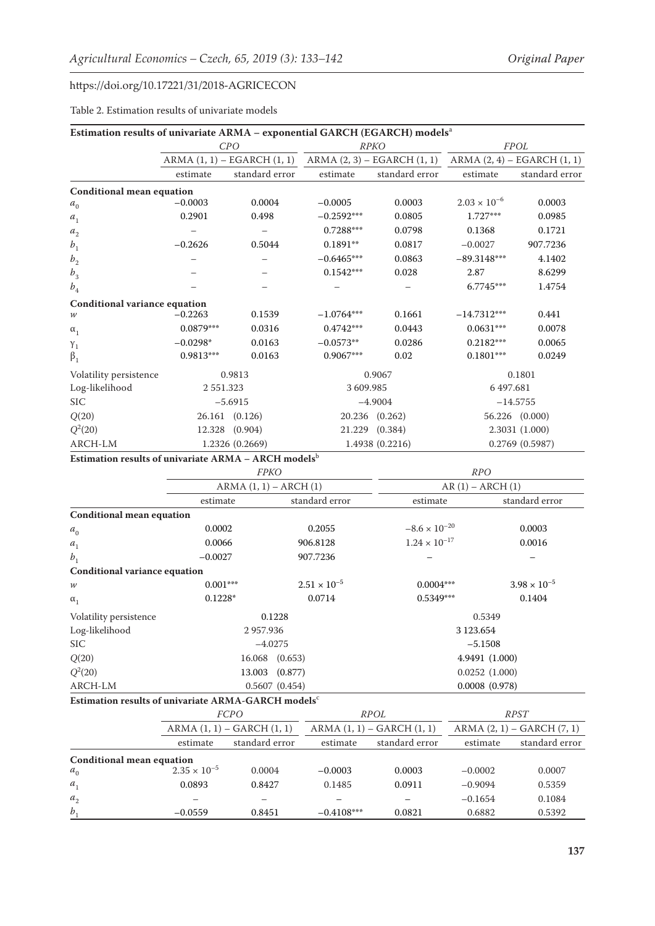Table 2. Estimation results of univariate models

| Estimation results of univariate ARMA - exponential GARCH (EGARCH) models <sup>a</sup> |                     | CPO                           |                               | <b>RPKO</b>                  |                               | <b>FPOL</b>                      |  |
|----------------------------------------------------------------------------------------|---------------------|-------------------------------|-------------------------------|------------------------------|-------------------------------|----------------------------------|--|
|                                                                                        |                     | $ARMA (1, 1) - EGARCH (1, 1)$ | $ARMA (2, 3) - EGARCH (1, 1)$ |                              | $ARMA (2, 4) - EGARCH (1, 1)$ |                                  |  |
|                                                                                        | estimate            | standard error                | estimate                      | standard error               | estimate                      | standard error                   |  |
| <b>Conditional mean equation</b>                                                       |                     |                               |                               |                              |                               |                                  |  |
| a <sub>0</sub>                                                                         | $-0.0003$           | 0.0004                        | $-0.0005$                     | 0.0003                       | $2.03 \times 10^{-6}$         | 0.0003                           |  |
| $\boldsymbol{a}_1$                                                                     | 0.2901              | 0.498                         | $-0.2592***$                  | 0.0805                       | 1.727***                      | 0.0985                           |  |
| $a_{2}$                                                                                |                     |                               | 0.7288***                     | 0.0798                       | 0.1368                        | 0.1721                           |  |
| b <sub>1</sub>                                                                         | $-0.2626$           | 0.5044                        | $0.1891**$                    | 0.0817                       | $-0.0027$                     | 907.7236                         |  |
| b <sub>2</sub>                                                                         |                     |                               | $-0.6465***$                  | 0.0863                       | $-89.3148***$                 | 4.1402                           |  |
| b <sub>3</sub>                                                                         |                     |                               | $0.1542***$                   | 0.028                        | 2.87                          | 8.6299                           |  |
| b <sub>4</sub>                                                                         |                     |                               |                               |                              | 6.7745***                     | 1.4754                           |  |
| Conditional variance equation                                                          |                     |                               |                               |                              |                               |                                  |  |
| W                                                                                      | $-0.2263$           | 0.1539                        | $-1.0764***$                  | 0.1661                       | $-14.7312***$                 | 0.441                            |  |
| $\alpha_{1}$                                                                           | $0.0879***$         | 0.0316                        | $0.4742***$                   | 0.0443                       | $0.0631***$                   | 0.0078                           |  |
| $Y_1$                                                                                  | $-0.0298*$          | 0.0163                        | $-0.0573**$                   | 0.0286                       | $0.2182***$                   | 0.0065                           |  |
| $\beta_1$                                                                              | $0.9813***$         | 0.0163                        | $0.9067***$                   | 0.02                         | $0.1801***$                   | 0.0249                           |  |
| Volatility persistence                                                                 |                     | 0.9813                        |                               | 0.9067                       |                               | 0.1801                           |  |
| Log-likelihood                                                                         | 2 551.323           |                               | 3 609.985                     |                              |                               |                                  |  |
| <b>SIC</b>                                                                             |                     | $-5.6915$                     |                               | $-4.9004$                    |                               | 6 497.681<br>$-14.5755$          |  |
| Q(20)                                                                                  |                     | 26.161 (0.126)                |                               | 20.236 (0.262)               |                               |                                  |  |
|                                                                                        |                     |                               |                               |                              |                               | 56.226 (0.000)<br>2.3031 (1.000) |  |
| $Q^2(20)$<br>ARCH-LM                                                                   |                     | 12.328 (0.904)                |                               | 21.229 (0.384)               |                               |                                  |  |
| Estimation results of univariate ARMA - ARCH models <sup>b</sup>                       |                     | 1.2326 (0.2669)               |                               | 1.4938 (0.2216)              |                               | 0.2769(0.5987)                   |  |
|                                                                                        |                     | <b>FPKO</b>                   |                               |                              | <b>RPO</b>                    |                                  |  |
|                                                                                        |                     | $ARMA (1, 1) - ARCH (1)$      |                               |                              | $AR(1) - ARCH(1)$             |                                  |  |
|                                                                                        | estimate            |                               | standard error                | estimate                     |                               | standard error                   |  |
| <b>Conditional mean equation</b>                                                       |                     |                               |                               |                              |                               |                                  |  |
|                                                                                        | 0.0002              |                               | 0.2055                        | $-8.6 \times 10^{-20}$       |                               | 0.0003                           |  |
| a <sub>0</sub>                                                                         | 0.0066              |                               | 906.8128                      | $1.24 \times 10^{-17}$       |                               | 0.0016                           |  |
| $\boldsymbol{a}_1$                                                                     | $-0.0027$           |                               | 907.7236                      |                              |                               |                                  |  |
| b <sub>1</sub><br><b>Conditional variance equation</b>                                 |                     |                               |                               |                              |                               |                                  |  |
|                                                                                        | $0.001***$          |                               | $2.51 \times 10^{-5}$         | $0.0004***$                  |                               | $3.98 \times 10^{-5}$            |  |
| W                                                                                      | $0.1228*$           |                               | 0.0714                        | $0.5349***$                  | 0.1404                        |                                  |  |
| $\alpha_1$                                                                             |                     |                               |                               |                              |                               |                                  |  |
| Volatility persistence                                                                 |                     | 0.1228                        |                               |                              | 0.5349                        |                                  |  |
| Log-likelihood                                                                         |                     | 2957.936                      |                               | 3 123.654                    |                               |                                  |  |
| <b>SIC</b>                                                                             |                     | $-4.0275$                     |                               | $-5.1508$                    |                               |                                  |  |
| Q(20)                                                                                  |                     | 16.068 (0.653)                |                               | 4.9491 (1.000)               |                               |                                  |  |
| $Q^2(20)$                                                                              |                     | 13.003<br>(0.877)             |                               |                              | 0.0252(1.000)                 |                                  |  |
| ARCH-LM                                                                                |                     | $0.5607$ $(0.454)$            |                               |                              | $0.0008$ $(0.978)$            |                                  |  |
| Estimation results of univariate ARMA-GARCH models <sup>c</sup>                        |                     |                               |                               |                              |                               |                                  |  |
|                                                                                        |                     | <b>FCPO</b>                   |                               | <b>RPOL</b>                  |                               | <b>RPST</b>                      |  |
|                                                                                        |                     | $ARMA (1, 1) - GARCH (1, 1)$  |                               | $ARMA (1, 1) - GARCH (1, 1)$ |                               | $ARMA (2, 1) - GARCH (7, 1)$     |  |
|                                                                                        | estimate            | standard error                | estimate                      | standard error               | estimate                      | standard error                   |  |
| Conditional mean equation                                                              |                     |                               |                               |                              |                               |                                  |  |
| $a_{0}$                                                                                | $2.35\times10^{-5}$ | 0.0004                        | $-0.0003$                     | 0.0003                       | $-0.0002$                     | 0.0007                           |  |
| $\boldsymbol{a}_1$                                                                     | 0.0893              | 0.8427                        | 0.1485                        | 0.0911                       | $-0.9094$                     | 0.5359                           |  |
| $\boldsymbol{a}_2$                                                                     |                     |                               |                               |                              | $-0.1654$                     | 0.1084                           |  |
| $b_{1}$                                                                                | $-0.0559$           | 0.8451                        | $-0.4108***$                  | 0.0821                       | 0.6882                        | 0.5392                           |  |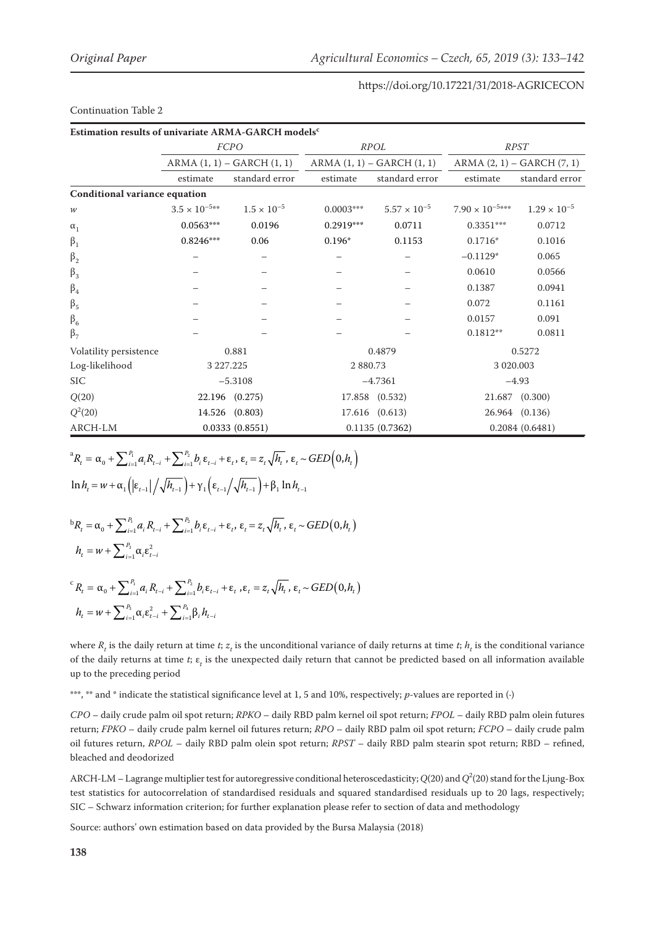Continuation Table 2

| Estimation results of univariate ARMA-GARCH models <sup>c</sup> |                      |                              |             |                              |                          |                              |
|-----------------------------------------------------------------|----------------------|------------------------------|-------------|------------------------------|--------------------------|------------------------------|
|                                                                 |                      | <b>FCPO</b>                  |             | RPOL                         |                          | <b>RPST</b>                  |
|                                                                 |                      | $ARMA (1, 1) - GARCH (1, 1)$ |             | $ARMA (1, 1) - GARCH (1, 1)$ |                          | $ARMA (2, 1) - GARCH (7, 1)$ |
|                                                                 | estimate             | standard error               | estimate    | standard error               | estimate                 | standard error               |
| Conditional variance equation                                   |                      |                              |             |                              |                          |                              |
| ${\mathcal W}$                                                  | $3.5\times10^{-5**}$ | $1.5 \times 10^{-5}$         | $0.0003***$ | $5.57 \times 10^{-5}$        | $7.90 \times 10^{-5***}$ | $1.29 \times 10^{-5}$        |
| $\alpha_1$                                                      | $0.0563***$          | 0.0196                       | $0.2919***$ | 0.0711                       | $0.3351***$              | 0.0712                       |
| $\beta_1$                                                       | $0.8246***$          | 0.06                         | $0.196*$    | 0.1153                       | $0.1716*$                | 0.1016                       |
| $\beta_2$                                                       |                      |                              |             |                              | $-0.1129*$               | 0.065                        |
| $\beta_3$                                                       |                      |                              |             |                              | 0.0610                   | 0.0566                       |
| $\beta_4$                                                       |                      |                              |             |                              | 0.1387                   | 0.0941                       |
| $\beta_5$                                                       |                      |                              |             |                              | 0.072                    | 0.1161                       |
| $\beta_6$                                                       |                      |                              |             |                              | 0.0157                   | 0.091                        |
| $\beta_7$                                                       |                      |                              |             |                              | $0.1812**$               | 0.0811                       |
| Volatility persistence                                          |                      | 0.881                        |             | 0.4879                       |                          | 0.5272                       |
| Log-likelihood                                                  |                      | 3 227.225                    | 2880.73     |                              | 3 020.003                |                              |
| <b>SIC</b>                                                      | $-5.3108$            |                              | $-4.7361$   |                              | $-4.93$                  |                              |
| Q(20)                                                           |                      | 22.196 (0.275)               |             | 17.858 (0.532)               |                          | 21.687 (0.300)               |
| $Q^2(20)$                                                       |                      | 14.526 (0.803)               |             | 17.616 (0.613)               |                          | 26.964 (0.136)               |
| ARCH-LM                                                         |                      | 0.0333(0.8551)               |             | 0.1135(0.7362)               |                          | 0.2084(0.6481)               |

$$
{}^{a}R_{t} = \alpha_{0} + \sum_{i=1}^{P_{1}} a_{i}R_{t-i} + \sum_{i=1}^{P_{2}} b_{i} \varepsilon_{t-i} + \varepsilon_{t}, \varepsilon_{t} = z_{t} \sqrt{h_{t}}, \varepsilon_{t} \sim GED(0, h_{t})
$$
  

$$
\ln h_{t} = w + \alpha_{1} (|\varepsilon_{t-1}| / \sqrt{h_{t-1}}) + \gamma_{1} (\varepsilon_{t-1} / \sqrt{h_{t-1}}) + \beta_{1} \ln h_{t-1}
$$

$$
{}^{b}R_{t} = \alpha_{0} + \sum_{i=1}^{P_{i}} a_{i} R_{t-i} + \sum_{i=1}^{P_{2}} b_{i} \varepsilon_{t-i} + \varepsilon_{t}, \varepsilon_{t} = z_{t} \sqrt{h_{t}}, \varepsilon_{t} \sim GED(0, h_{t})
$$

$$
h_{t} = w + \sum_{i=1}^{P_{3}} \alpha_{i} \varepsilon_{t-i}^{2}
$$

$$
{}^{c}R_{t} = \alpha_{0} + \sum_{i=1}^{P_{i}} a_{i} R_{t-i} + \sum_{i=1}^{P_{2}} b_{i} \varepsilon_{t-i} + \varepsilon_{t}, \varepsilon_{t} = z_{t} \sqrt{h_{t}}, \varepsilon_{t} \sim GED(0, h_{t})
$$

$$
h_{t} = w + \sum_{i=1}^{P_{3}} \alpha_{i} \varepsilon_{t-i}^{2} + \sum_{i=1}^{P_{4}} \beta_{i} h_{t-i}
$$

where  $R_t$  is the daily return at time  $t; z_t$  is the unconditional variance of daily returns at time  $t; h_t$  is the conditional variance of the daily returns at time *t*;  $\varepsilon_t$  is the unexpected daily return that cannot be predicted based on all information available up to the preceding period

\*\*\*, \*\* and \* indicate the statistical significance level at 1, 5 and 10%, respectively; *p*-values are reported in (·)

*CPO* – daily crude palm oil spot return; *RPKO* – daily RBD palm kernel oil spot return; *FPOL* – daily RBD palm olein futures return; *FPKO* – daily crude palm kernel oil futures return; *RPO* – daily RBD palm oil spot return; *FCPO* – daily crude palm oil futures return, *RPOL* – daily RBD palm olein spot return; *RPST* – daily RBD palm stearin spot return; RBD – refined, bleached and deodorized

ARCH-LM – Lagrange multiplier test for autoregressive conditional heteroscedasticity; *Q*(20) and *Q*<sup>2</sup> (20) stand for the Ljung-Box test statistics for autocorrelation of standardised residuals and squared standardised residuals up to 20 lags, respectively; SIC – Schwarz information criterion; for further explanation please refer to section of data and methodology

Source: authors' own estimation based on data provided by the Bursa Malaysia (2018)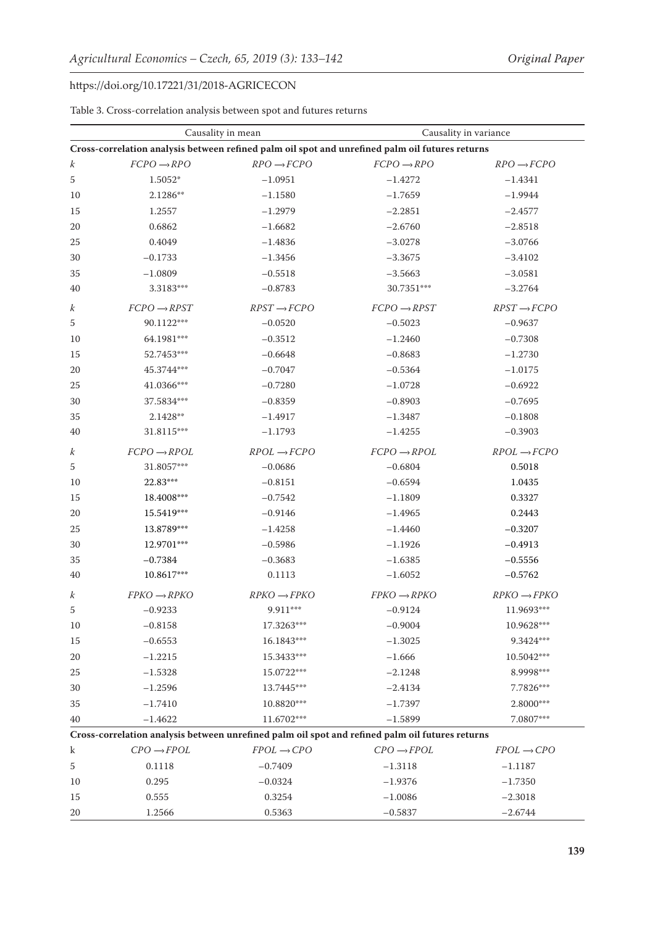| Table 3. Cross-correlation analysis between spot and futures returns |  |  |  |
|----------------------------------------------------------------------|--|--|--|
|                                                                      |  |  |  |

|                                                                                                 | Causality in mean<br>Causality in variance |                             |                                                                                                 |                             |  |  |
|-------------------------------------------------------------------------------------------------|--------------------------------------------|-----------------------------|-------------------------------------------------------------------------------------------------|-----------------------------|--|--|
| Cross-correlation analysis between refined palm oil spot and unrefined palm oil futures returns |                                            |                             |                                                                                                 |                             |  |  |
| $\boldsymbol{k}$                                                                                | $FCPO \longrightarrow RPO$                 | $RPO \rightarrow FCPO$      | $FCPO \longrightarrow RPO$                                                                      | $RPO \rightarrow FCPO$      |  |  |
| 5                                                                                               | $1.5052*$                                  | $-1.0951$                   | $-1.4272$                                                                                       | $-1.4341$                   |  |  |
| 10                                                                                              | 2.1286**                                   | $-1.1580$                   | $-1.7659$                                                                                       | $-1.9944$                   |  |  |
| 15                                                                                              | 1.2557                                     | $-1.2979$                   | $-2.2851$                                                                                       | $-2.4577$                   |  |  |
| 20                                                                                              | 0.6862                                     | $-1.6682$                   | $-2.6760$                                                                                       | $-2.8518$                   |  |  |
| 25                                                                                              | 0.4049                                     | $-1.4836$                   | $-3.0278$                                                                                       | $-3.0766$                   |  |  |
| 30                                                                                              | $-0.1733$                                  | $-1.3456$                   | $-3.3675$                                                                                       | $-3.4102$                   |  |  |
| 35                                                                                              | $-1.0809$                                  | $-0.5518$                   | $-3.5663$                                                                                       | $-3.0581$                   |  |  |
| 40                                                                                              | $3.3183***$                                | $-0.8783$                   | 30.7351***                                                                                      | $-3.2764$                   |  |  |
| $\boldsymbol{k}$                                                                                | $FCPO \longrightarrow RPST$                | $RPST \rightarrow FCPO$     | $FCPO \rightarrow RPST$                                                                         | $RPST \rightarrow FCPO$     |  |  |
| 5                                                                                               | 90.1122***                                 | $-0.0520$                   | $-0.5023$                                                                                       | $-0.9637$                   |  |  |
| 10                                                                                              | 64.1981***                                 | $-0.3512$                   | $-1.2460$                                                                                       | $-0.7308$                   |  |  |
| 15                                                                                              | 52.7453***                                 | $-0.6648$                   | $-0.8683$                                                                                       | $-1.2730$                   |  |  |
| 20                                                                                              | 45.3744***                                 | $-0.7047$                   | $-0.5364$                                                                                       | $-1.0175$                   |  |  |
| 25                                                                                              | 41.0366***                                 | $-0.7280$                   | $-1.0728$                                                                                       | $-0.6922$                   |  |  |
| 30                                                                                              | 37.5834***                                 | $-0.8359$                   | $-0.8903$                                                                                       | $-0.7695$                   |  |  |
| 35                                                                                              | $2.1428**$                                 | $-1.4917$                   | $-1.3487$                                                                                       | $-0.1808$                   |  |  |
| 40                                                                                              | 31.8115***                                 | $-1.1793$                   | $-1.4255$                                                                                       | $-0.3903$                   |  |  |
| $\boldsymbol{k}$                                                                                | $FCPO \rightarrow RPOL$                    | $RPOL \rightarrow FCPO$     | $FCPO \rightarrow RPOL$                                                                         | $RPOL \rightarrow FCPO$     |  |  |
| 5                                                                                               | 31.8057***                                 | $-0.0686$                   | $-0.6804$                                                                                       | 0.5018                      |  |  |
| 10                                                                                              | 22.83***                                   | $-0.8151$                   | $-0.6594$                                                                                       | 1.0435                      |  |  |
| 15                                                                                              | 18.4008***                                 | $-0.7542$                   | $-1.1809$                                                                                       | 0.3327                      |  |  |
| 20                                                                                              | 15.5419***                                 | $-0.9146$                   | $-1.4965$                                                                                       | 0.2443                      |  |  |
| 25                                                                                              | 13.8789***                                 | $-1.4258$                   | $-1.4460$                                                                                       | $-0.3207$                   |  |  |
| 30                                                                                              | 12.9701***                                 | $-0.5986$                   | $-1.1926$                                                                                       | $-0.4913$                   |  |  |
| 35                                                                                              | $-0.7384$                                  | $-0.3683$                   | $-1.6385$                                                                                       | $-0.5556$                   |  |  |
| 40                                                                                              | 10.8617***                                 | 0.1113                      | $-1.6052$                                                                                       | $-0.5762$                   |  |  |
| $\boldsymbol{k}$                                                                                | $FPKO \longrightarrow RPKO$                | $RPKO \longrightarrow FPKO$ | $FPKO \longrightarrow RPKO$                                                                     | $RPKO \longrightarrow FPKO$ |  |  |
| 5                                                                                               | $-0.9233$                                  | 9.911***                    | $-0.9124$                                                                                       | 11.9693***                  |  |  |
| 10                                                                                              | $-0.8158$                                  | $17.3263***$                | $-0.9004$                                                                                       | $10.9628***$                |  |  |
| 15                                                                                              | $-0.6553$                                  | 16.1843***                  | $-1.3025$                                                                                       | 9.3424***                   |  |  |
| 20                                                                                              | $-1.2215$                                  | 15.3433***                  | $-1.666$                                                                                        | 10.5042***                  |  |  |
| 25                                                                                              | $-1.5328$                                  | 15.0722***                  | $-2.1248$                                                                                       | 8.9998***                   |  |  |
| 30                                                                                              | $-1.2596$                                  | 13.7445***                  | $-2.4134$                                                                                       | 7.7826***                   |  |  |
| 35                                                                                              | $-1.7410$                                  | 10.8820***                  | $-1.7397$                                                                                       | $2.8000***$                 |  |  |
| 40                                                                                              | $-1.4622$                                  | 11.6702***                  | $-1.5899$                                                                                       | 7.0807***                   |  |  |
|                                                                                                 |                                            |                             | Cross-correlation analysis between unrefined palm oil spot and refined palm oil futures returns |                             |  |  |
| k                                                                                               | $CPO \rightarrow FPOL$                     | $FPOL \rightarrow CPO$      | $CPO \rightarrow FPOL$                                                                          | $FPOL \rightarrow CPO$      |  |  |
| 5                                                                                               | 0.1118                                     | $-0.7409$                   | $-1.3118$                                                                                       | $-1.1187$                   |  |  |
| 10                                                                                              | 0.295                                      | $-0.0324$                   | $-1.9376$                                                                                       | $-1.7350$                   |  |  |
| 15                                                                                              | 0.555                                      | 0.3254                      | $-1.0086$                                                                                       | $-2.3018$                   |  |  |
| 20                                                                                              | 1.2566                                     | 0.5363                      | $-0.5837$                                                                                       | $-2.6744$                   |  |  |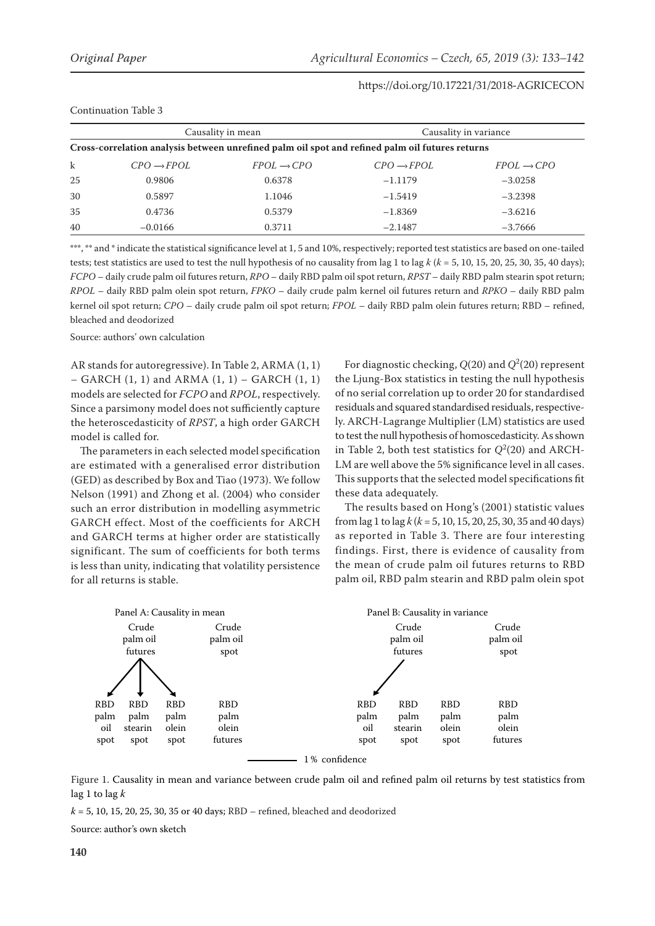|             |                        | Causality in mean      | Causality in variance                                                                           |                        |  |
|-------------|------------------------|------------------------|-------------------------------------------------------------------------------------------------|------------------------|--|
|             |                        |                        | Cross-correlation analysis between unrefined palm oil spot and refined palm oil futures returns |                        |  |
| $\mathbf k$ | $CPO \rightarrow FPOL$ | $FPOL \rightarrow CPO$ | $CPO \rightarrow FPOL$                                                                          | $FPOL \rightarrow CPO$ |  |
| 25          | 0.9806                 | 0.6378                 | $-1.1179$                                                                                       | $-3.0258$              |  |
| 30          | 0.5897                 | 1.1046                 | $-1.5419$                                                                                       | $-3.2398$              |  |
| 35          | 0.4736                 | 0.5379                 | $-1.8369$                                                                                       | $-3.6216$              |  |
| 40          | $-0.0166$              | 0.3711                 | $-2.1487$                                                                                       | $-3.7666$              |  |

#### Continuation Table 3

\*\*\*, \*\* and \* indicate the statistical significance level at 1, 5 and 10%, respectively; reported test statistics are based on one-tailed tests; test statistics are used to test the null hypothesis of no causality from lag 1 to lag *k* (*k* = 5, 10, 15, 20, 25, 30, 35, 40 days); *FCPO* – daily crude palm oil futures return, *RPO* – daily RBD palm oil spot return, *RPST* – daily RBD palm stearin spot return; *RPOL* – daily RBD palm olein spot return, *FPKO* – daily crude palm kernel oil futures return and *RPKO* – daily RBD palm kernel oil spot return; *CPO* – daily crude palm oil spot return; *FPOL* – daily RBD palm olein futures return; RBD – refined, bleached and deodorized

Source: authors' own calculation

AR stands for autoregressive). In Table 2, ARMA (1, 1)  $-$  GARCH  $(1, 1)$  and ARMA  $(1, 1)$  – GARCH  $(1, 1)$ models are selected for *FCPO* and *RPOL*, respectively. Since a parsimony model does not sufficiently capture the heteroscedasticity of *RPST*, a high order GARCH model is called for.

The parameters in each selected model specification are estimated with a generalised error distribution (GED) as described by Box and Tiao (1973). We follow Nelson (1991) and Zhong et al. (2004) who consider such an error distribution in modelling asymmetric GARCH effect. Most of the coefficients for ARCH and GARCH terms at higher order are statistically significant. The sum of coefficients for both terms is less than unity, indicating that volatility persistence for all returns is stable.

For diagnostic checking,  $Q(20)$  and  $Q^2(20)$  represent the Ljung-Box statistics in testing the null hypothesis of no serial correlation up to order 20 for standardised residuals and squared standardised residuals, respectively. ARCH-Lagrange Multiplier (LM) statistics are used to test the null hypothesis of homoscedasticity. As shown in Table 2, both test statistics for  $Q^2(20)$  and ARCH-LM are well above the 5% significance level in all cases. This supports that the selected model specifications fit these data adequately.

The results based on Hong's (2001) statistic values from lag 1 to lag *k* (*k* = 5, 10, 15, 20, 25, 30, 35 and 40 days) as reported in Table 3. There are four interesting findings. First, there is evidence of causality from the mean of crude palm oil futures returns to RBD palm oil, RBD palm stearin and RBD palm olein spot





Figure 1. Causality in mean and variance between crude palm oil and refined palm oil returns by test statistics from lag 1 to lag *k*

*k* = 5, 10, 15, 20, 25, 30, 35 or 40 days; RBD – refined, bleached and deodorized

Source: author's own sketch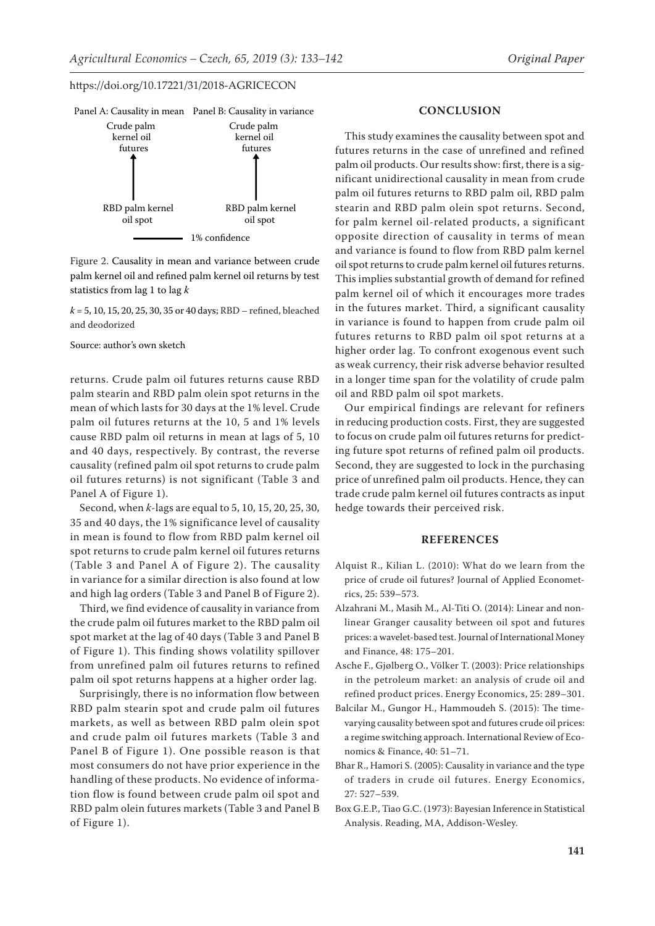

Figure 2. Causality in mean and variance between crude palm kernel oil and refined palm kernel oil returns by test statistics from lag 1 to lag *k*

*k* = 5, 10, 15, 20, 25, 30, 35 or 40 days; RBD – refined, bleached and deodorized

Source: author's own sketch

returns. Crude palm oil futures returns cause RBD palm stearin and RBD palm olein spot returns in the mean of which lasts for 30 days at the 1% level. Crude palm oil futures returns at the 10, 5 and 1% levels cause RBD palm oil returns in mean at lags of 5, 10 and 40 days, respectively. By contrast, the reverse causality (refined palm oil spot returns to crude palm oil futures returns) is not significant (Table 3 and Panel A of Figure 1).

Second, when *k*-lags are equal to 5, 10, 15, 20, 25, 30, 35 and 40 days, the 1% significance level of causality in mean is found to flow from RBD palm kernel oil spot returns to crude palm kernel oil futures returns (Table 3 and Panel A of Figure 2). The causality in variance for a similar direction is also found at low and high lag orders (Table 3 and Panel B of Figure 2).

Third, we find evidence of causality in variance from the crude palm oil futures market to the RBD palm oil spot market at the lag of 40 days (Table 3 and Panel B of Figure 1). This finding shows volatility spillover from unrefined palm oil futures returns to refined palm oil spot returns happens at a higher order lag.

Surprisingly, there is no information flow between RBD palm stearin spot and crude palm oil futures markets, as well as between RBD palm olein spot and crude palm oil futures markets (Table 3 and Panel B of Figure 1). One possible reason is that most consumers do not have prior experience in the handling of these products. No evidence of information flow is found between crude palm oil spot and RBD palm olein futures markets (Table 3 and Panel B of Figure 1).

### **CONCLUSION**

This study examines the causality between spot and futures returns in the case of unrefined and refined palm oil products. Our results show: first, there is a significant unidirectional causality in mean from crude palm oil futures returns to RBD palm oil, RBD palm stearin and RBD palm olein spot returns. Second, for palm kernel oil-related products, a significant opposite direction of causality in terms of mean and variance is found to flow from RBD palm kernel oil spot returns to crude palm kernel oil futures returns. This implies substantial growth of demand for refined palm kernel oil of which it encourages more trades in the futures market. Third, a significant causality in variance is found to happen from crude palm oil futures returns to RBD palm oil spot returns at a higher order lag. To confront exogenous event such as weak currency, their risk adverse behavior resulted in a longer time span for the volatility of crude palm oil and RBD palm oil spot markets.

Our empirical findings are relevant for refiners in reducing production costs. First, they are suggested to focus on crude palm oil futures returns for predicting future spot returns of refined palm oil products. Second, they are suggested to lock in the purchasing price of unrefined palm oil products. Hence, they can trade crude palm kernel oil futures contracts as input hedge towards their perceived risk.

### **REFERENCES**

- Alquist R., Kilian L. (2010): What do we learn from the price of crude oil futures? Journal of Applied Econometrics, 25: 539–573.
- Alzahrani M., Masih M., Al-Titi O. (2014): Linear and nonlinear Granger causality between oil spot and futures prices: a wavelet-based test. Journal of International Money and Finance, 48: 175–201.
- Asche F., Gjølberg O., Völker T. (2003): Price relationships in the petroleum market: an analysis of crude oil and refined product prices. Energy Economics, 25: 289–301.
- Balcilar M., Gungor H., Hammoudeh S. (2015): The timevarying causality between spot and futures crude oil prices: a regime switching approach. International Review of Economics & Finance, 40: 51–71.
- Bhar R., Hamori S. (2005): Causality in variance and the type of traders in crude oil futures. Energy Economics, 27: 527–539.
- Box G.E.P., Tiao G.C. (1973): Bayesian Inference in Statistical Analysis. Reading, MA, Addison-Wesley.